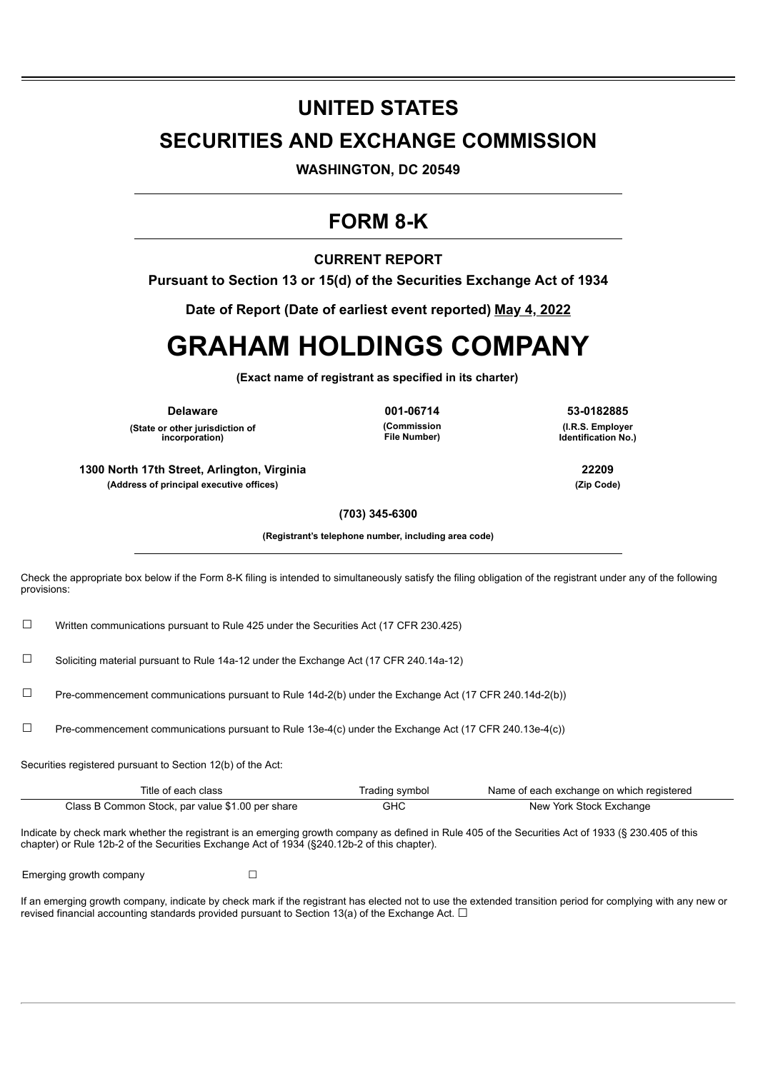# **UNITED STATES SECURITIES AND EXCHANGE COMMISSION**

**WASHINGTON, DC 20549**

## **FORM 8-K**

## **CURRENT REPORT**

**Pursuant to Section 13 or 15(d) of the Securities Exchange Act of 1934**

**Date of Report (Date of earliest event reported) May 4, 2022**

# **GRAHAM HOLDINGS COMPANY**

**(Exact name of registrant as specified in its charter)**

**(State or other jurisdiction of incorporation)**

**(Commission File Number)**

**Delaware 001-06714 53-0182885 (I.R.S. Employer**

**Identification No.)**

**1300 North 17th Street, Arlington, Virginia 22209 (Address of principal executive offices) (Zip Code)**

**(703) 345-6300**

**(Registrant's telephone number, including area code)**

Check the appropriate box below if the Form 8-K filing is intended to simultaneously satisfy the filing obligation of the registrant under any of the following provisions:

☐ Written communications pursuant to Rule 425 under the Securities Act (17 CFR 230.425)

☐ Soliciting material pursuant to Rule 14a-12 under the Exchange Act (17 CFR 240.14a-12)

☐ Pre-commencement communications pursuant to Rule 14d-2(b) under the Exchange Act (17 CFR 240.14d-2(b))

 $\square$  Pre-commencement communications pursuant to Rule 13e-4(c) under the Exchange Act (17 CFR 240.13e-4(c))

Securities registered pursuant to Section 12(b) of the Act:

| Title of each class                              | Trading symbol | Name of each exchange on which registered |
|--------------------------------------------------|----------------|-------------------------------------------|
| Class B Common Stock, par value \$1.00 per share | GHC            | New York Stock Exchange                   |

Indicate by check mark whether the registrant is an emerging growth company as defined in Rule 405 of the Securities Act of 1933 (§ 230.405 of this chapter) or Rule 12b-2 of the Securities Exchange Act of 1934 (§240.12b-2 of this chapter).

Emerging growth company  $\Box$ 

If an emerging growth company, indicate by check mark if the registrant has elected not to use the extended transition period for complying with any new or revised financial accounting standards provided pursuant to Section 13(a) of the Exchange Act.  $\Box$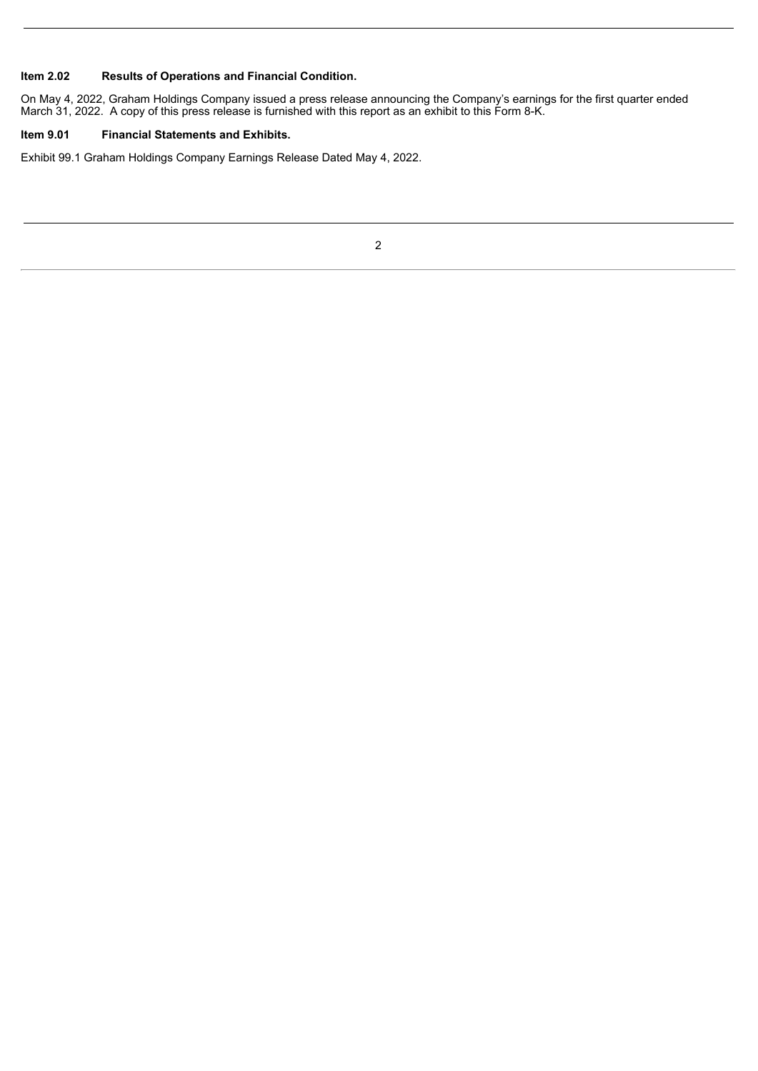## **Item 2.02 Results of Operations and Financial Condition.**

On May 4, 2022, Graham Holdings Company issued a press release announcing the Company's earnings for the first quarter ended March 31, 2022. A copy of this press release is furnished with this report as an exhibit to this Form 8-K.

## **Item 9.01 Financial Statements and Exhibits.**

Exhibit 99.1 Graham Holdings Company Earnings Release Dated May 4, 2022.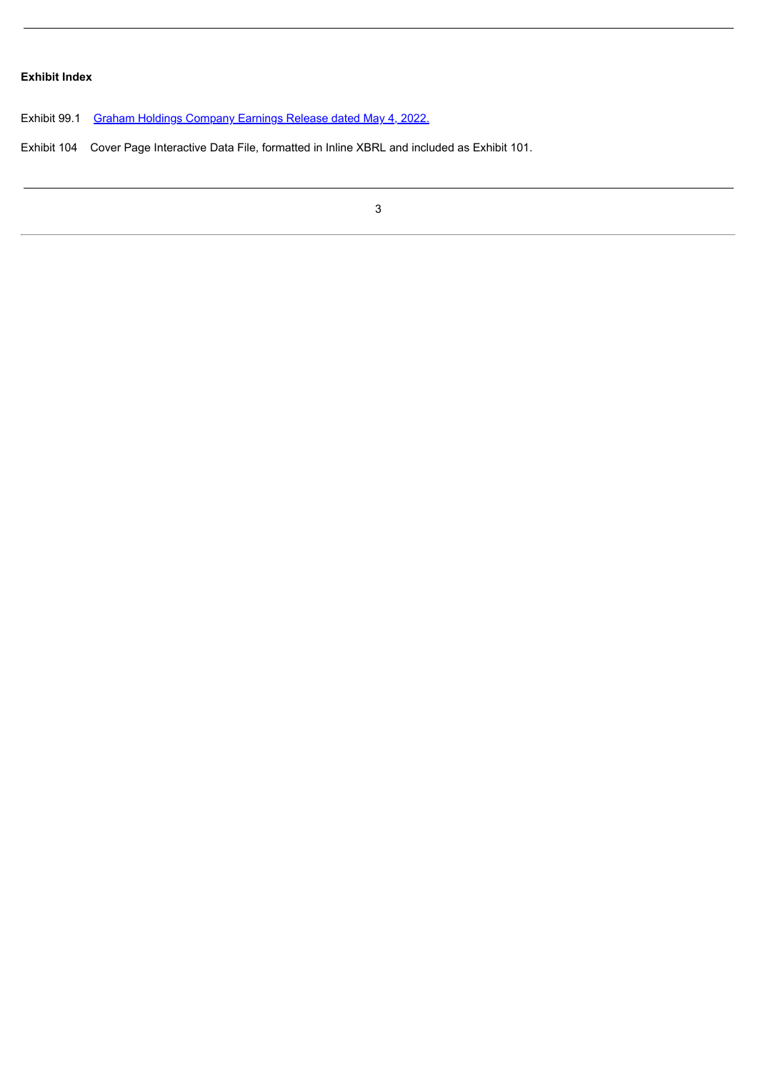## **Exhibit Index**

Exhibit 99.1 Graham Holdings [Company](#page-4-0) Earnings Release dated May 4, 2022.

Exhibit 104 Cover Page Interactive Data File, formatted in Inline XBRL and included as Exhibit 101.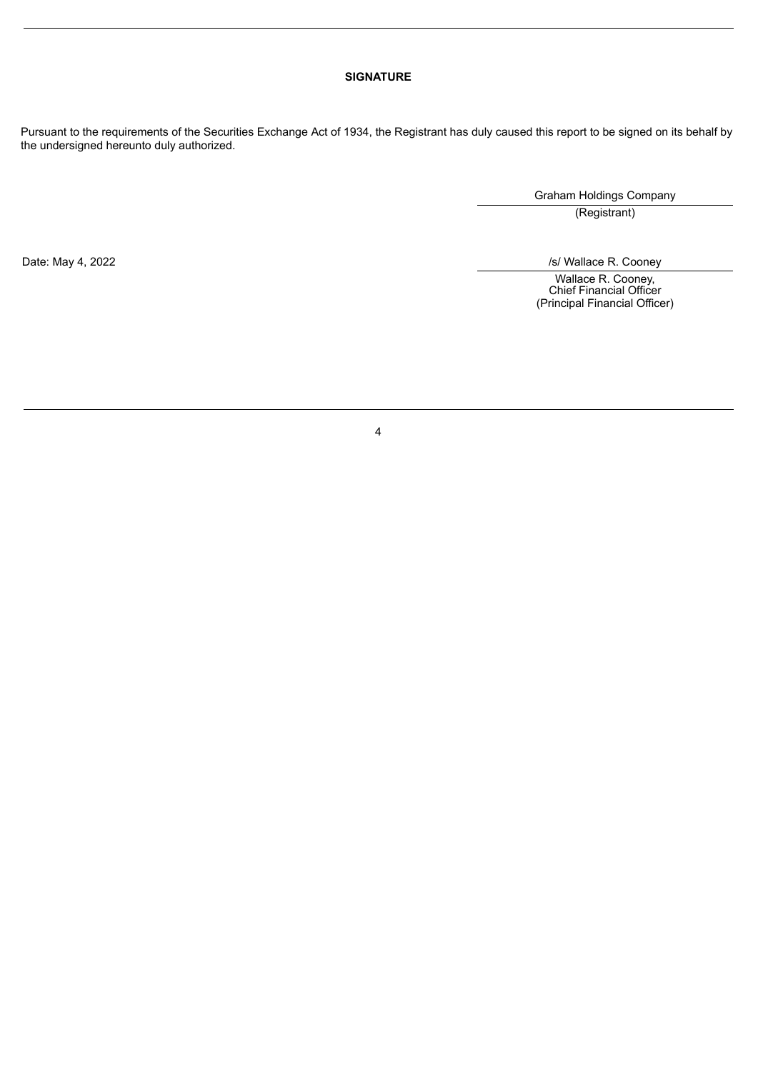## **SIGNATURE**

Pursuant to the requirements of the Securities Exchange Act of 1934, the Registrant has duly caused this report to be signed on its behalf by the undersigned hereunto duly authorized.

Graham Holdings Company

(Registrant)

Date: May 4, 2022 /s/ Wallace R. Cooney

Wallace R. Cooney, Chief Financial Officer (Principal Financial Officer)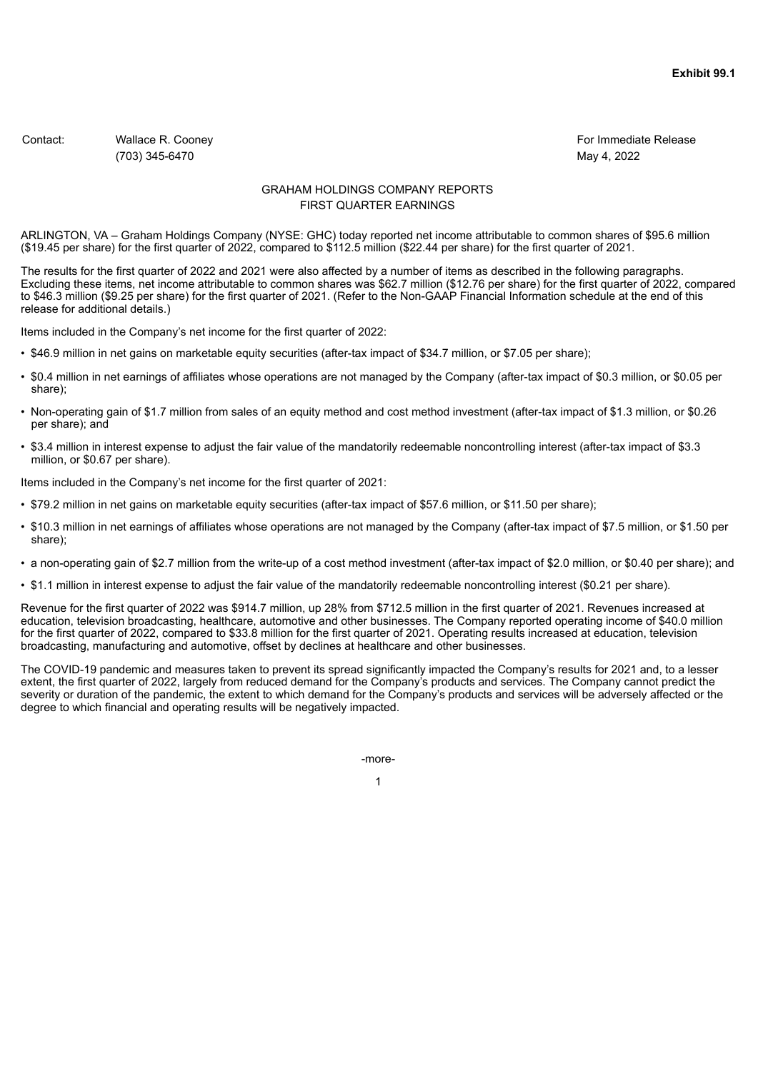<span id="page-4-0"></span>Contact: Contact: Wallace R. Cooney For Immediate Release Contact: Contact: Contact: Contact: Contact: Contact: Contact: Contact: Contact: Contact: Contact: Contact: Contact: Contact: Contact: Contact: Contact: Contact: Co (703) 345-6470 May 4, 2022

### GRAHAM HOLDINGS COMPANY REPORTS FIRST QUARTER EARNINGS

ARLINGTON, VA – Graham Holdings Company (NYSE: GHC) today reported net income attributable to common shares of \$95.6 million (\$19.45 per share) for the first quarter of 2022, compared to \$112.5 million (\$22.44 per share) for the first quarter of 2021.

The results for the first quarter of 2022 and 2021 were also affected by a number of items as described in the following paragraphs. Excluding these items, net income attributable to common shares was \$62.7 million (\$12.76 per share) for the first quarter of 2022, compared to \$46.3 million (\$9.25 per share) for the first quarter of 2021. (Refer to the Non-GAAP Financial Information schedule at the end of this release for additional details.)

Items included in the Company's net income for the first quarter of 2022:

- \$46.9 million in net gains on marketable equity securities (after-tax impact of \$34.7 million, or \$7.05 per share);
- \$0.4 million in net earnings of affiliates whose operations are not managed by the Company (after-tax impact of \$0.3 million, or \$0.05 per share);
- Non-operating gain of \$1.7 million from sales of an equity method and cost method investment (after-tax impact of \$1.3 million, or \$0.26 per share); and
- \$3.4 million in interest expense to adjust the fair value of the mandatorily redeemable noncontrolling interest (after-tax impact of \$3.3 million, or \$0.67 per share).

Items included in the Company's net income for the first quarter of 2021:

- \$79.2 million in net gains on marketable equity securities (after-tax impact of \$57.6 million, or \$11.50 per share);
- \$10.3 million in net earnings of affiliates whose operations are not managed by the Company (after-tax impact of \$7.5 million, or \$1.50 per share);
- a non-operating gain of \$2.7 million from the write-up of a cost method investment (after-tax impact of \$2.0 million, or \$0.40 per share); and
- \$1.1 million in interest expense to adjust the fair value of the mandatorily redeemable noncontrolling interest (\$0.21 per share).

Revenue for the first quarter of 2022 was \$914.7 million, up 28% from \$712.5 million in the first quarter of 2021. Revenues increased at education, television broadcasting, healthcare, automotive and other businesses. The Company reported operating income of \$40.0 million for the first quarter of 2022, compared to \$33.8 million for the first quarter of 2021. Operating results increased at education, television broadcasting, manufacturing and automotive, offset by declines at healthcare and other businesses.

The COVID-19 pandemic and measures taken to prevent its spread significantly impacted the Company's results for 2021 and, to a lesser extent, the first quarter of 2022, largely from reduced demand for the Company's products and services. The Company cannot predict the severity or duration of the pandemic, the extent to which demand for the Company's products and services will be adversely affected or the degree to which financial and operating results will be negatively impacted.

-more-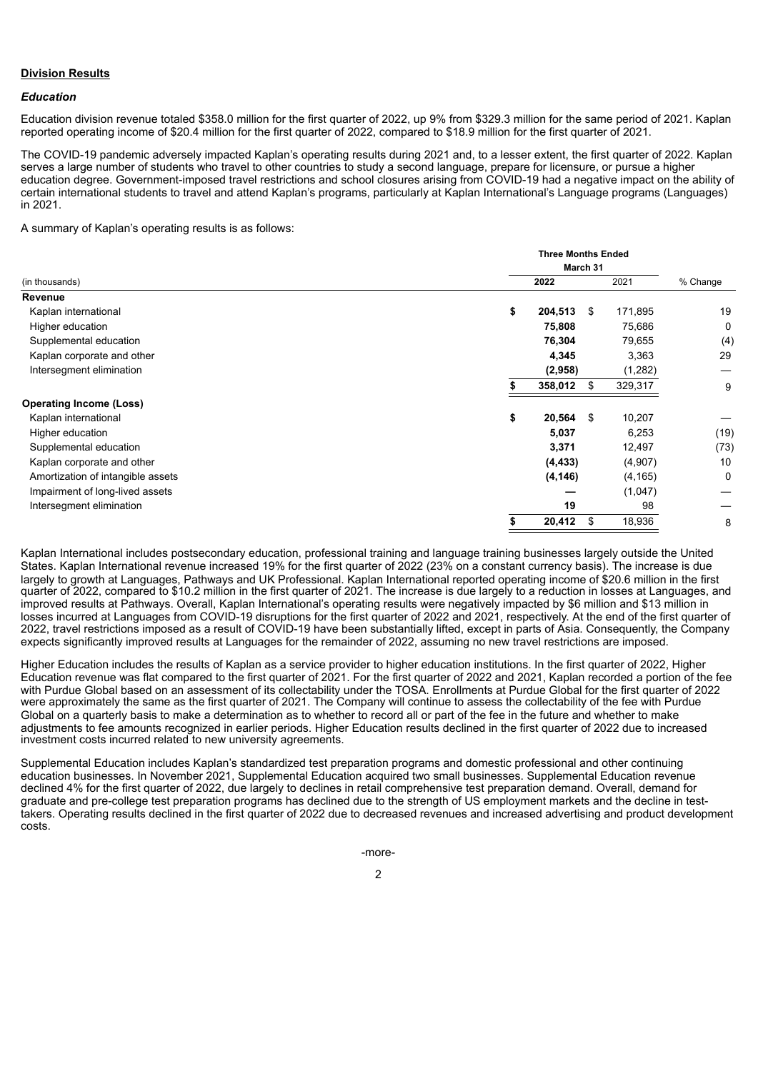#### **Division Results**

#### *Education*

Education division revenue totaled \$358.0 million for the first quarter of 2022, up 9% from \$329.3 million for the same period of 2021. Kaplan reported operating income of \$20.4 million for the first quarter of 2022, compared to \$18.9 million for the first quarter of 2021.

The COVID-19 pandemic adversely impacted Kaplan's operating results during 2021 and, to a lesser extent, the first quarter of 2022. Kaplan serves a large number of students who travel to other countries to study a second language, prepare for licensure, or pursue a higher education degree. Government-imposed travel restrictions and school closures arising from COVID-19 had a negative impact on the ability of certain international students to travel and attend Kaplan's programs, particularly at Kaplan International's Language programs (Languages) in 2021.

A summary of Kaplan's operating results is as follows:

|                                   |    | <b>Three Months Ended</b> |      |          |          |
|-----------------------------------|----|---------------------------|------|----------|----------|
|                                   |    | March 31                  |      |          |          |
| (in thousands)                    |    | 2022                      |      | 2021     | % Change |
| Revenue                           |    |                           |      |          |          |
| Kaplan international              | \$ | 204,513                   | \$   | 171,895  | 19       |
| Higher education                  |    | 75,808                    |      | 75,686   | 0        |
| Supplemental education            |    | 76,304                    |      | 79,655   | (4)      |
| Kaplan corporate and other        |    | 4,345                     |      | 3,363    | 29       |
| Intersegment elimination          |    | (2,958)                   |      | (1,282)  |          |
|                                   |    | 358,012                   | - \$ | 329,317  | 9        |
| <b>Operating Income (Loss)</b>    |    |                           |      |          |          |
| Kaplan international              | \$ | 20,564                    | - \$ | 10,207   |          |
| Higher education                  |    | 5,037                     |      | 6,253    | (19)     |
| Supplemental education            |    | 3,371                     |      | 12,497   | (73)     |
| Kaplan corporate and other        |    | (4, 433)                  |      | (4,907)  | 10       |
| Amortization of intangible assets |    | (4, 146)                  |      | (4, 165) | 0        |
| Impairment of long-lived assets   |    |                           |      | (1,047)  |          |
| Intersegment elimination          |    | 19                        |      | 98       |          |
|                                   | \$ | 20,412                    | \$   | 18,936   | 8        |

Kaplan International includes postsecondary education, professional training and language training businesses largely outside the United States. Kaplan International revenue increased 19% for the first quarter of 2022 (23% on a constant currency basis). The increase is due largely to growth at Languages, Pathways and UK Professional. Kaplan International reported operating income of \$20.6 million in the first quarter of 2022, compared to \$10.2 million in the first quarter of 2021. The increase is due largely to a reduction in losses at Languages, and improved results at Pathways. Overall, Kaplan International's operating results were negatively impacted by \$6 million and \$13 million in losses incurred at Languages from COVID-19 disruptions for the first quarter of 2022 and 2021, respectively. At the end of the first quarter of 2022, travel restrictions imposed as a result of COVID-19 have been substantially lifted, except in parts of Asia. Consequently, the Company expects significantly improved results at Languages for the remainder of 2022, assuming no new travel restrictions are imposed.

Higher Education includes the results of Kaplan as a service provider to higher education institutions. In the first quarter of 2022, Higher Education revenue was flat compared to the first quarter of 2021. For the first quarter of 2022 and 2021, Kaplan recorded a portion of the fee with Purdue Global based on an assessment of its collectability under the TOSA. Enrollments at Purdue Global for the first quarter of 2022 were approximately the same as the first quarter of 2021. The Company will continue to assess the collectability of the fee with Purdue Global on a quarterly basis to make a determination as to whether to record all or part of the fee in the future and whether to make adjustments to fee amounts recognized in earlier periods. Higher Education results declined in the first quarter of 2022 due to increased investment costs incurred related to new university agreements.

Supplemental Education includes Kaplan's standardized test preparation programs and domestic professional and other continuing education businesses. In November 2021, Supplemental Education acquired two small businesses. Supplemental Education revenue declined 4% for the first quarter of 2022, due largely to declines in retail comprehensive test preparation demand. Overall, demand for graduate and pre-college test preparation programs has declined due to the strength of US employment markets and the decline in testtakers. Operating results declined in the first quarter of 2022 due to decreased revenues and increased advertising and product development costs.

-more-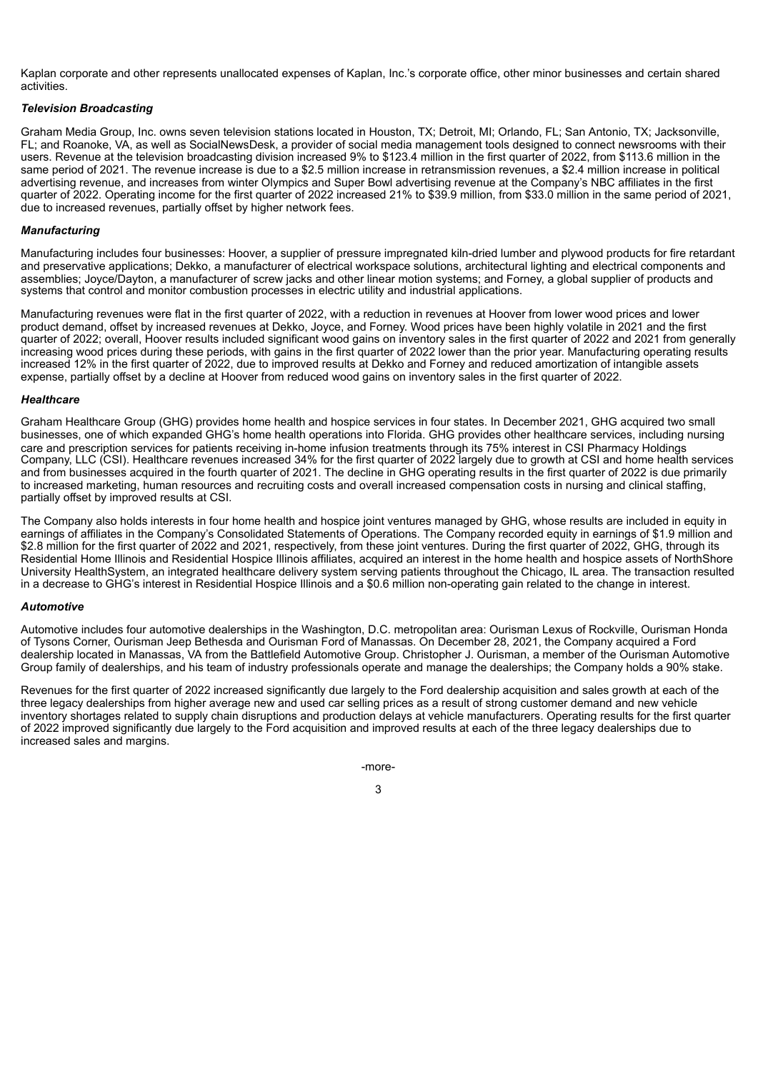Kaplan corporate and other represents unallocated expenses of Kaplan, Inc.'s corporate office, other minor businesses and certain shared activities.

#### *Television Broadcasting*

Graham Media Group, Inc. owns seven television stations located in Houston, TX; Detroit, MI; Orlando, FL; San Antonio, TX; Jacksonville, FL; and Roanoke, VA, as well as SocialNewsDesk, a provider of social media management tools designed to connect newsrooms with their users. Revenue at the television broadcasting division increased 9% to \$123.4 million in the first quarter of 2022, from \$113.6 million in the same period of 2021. The revenue increase is due to a \$2.5 million increase in retransmission revenues, a \$2.4 million increase in political advertising revenue, and increases from winter Olympics and Super Bowl advertising revenue at the Company's NBC affiliates in the first quarter of 2022. Operating income for the first quarter of 2022 increased 21% to \$39.9 million, from \$33.0 million in the same period of 2021, due to increased revenues, partially offset by higher network fees.

#### *Manufacturing*

Manufacturing includes four businesses: Hoover, a supplier of pressure impregnated kiln-dried lumber and plywood products for fire retardant and preservative applications; Dekko, a manufacturer of electrical workspace solutions, architectural lighting and electrical components and assemblies; Joyce/Dayton, a manufacturer of screw jacks and other linear motion systems; and Forney, a global supplier of products and systems that control and monitor combustion processes in electric utility and industrial applications.

Manufacturing revenues were flat in the first quarter of 2022, with a reduction in revenues at Hoover from lower wood prices and lower product demand, offset by increased revenues at Dekko, Joyce, and Forney. Wood prices have been highly volatile in 2021 and the first quarter of 2022; overall, Hoover results included significant wood gains on inventory sales in the first quarter of 2022 and 2021 from generally increasing wood prices during these periods, with gains in the first quarter of 2022 lower than the prior year. Manufacturing operating results increased 12% in the first quarter of 2022, due to improved results at Dekko and Forney and reduced amortization of intangible assets expense, partially offset by a decline at Hoover from reduced wood gains on inventory sales in the first quarter of 2022.

#### *Healthcare*

Graham Healthcare Group (GHG) provides home health and hospice services in four states. In December 2021, GHG acquired two small businesses, one of which expanded GHG's home health operations into Florida. GHG provides other healthcare services, including nursing care and prescription services for patients receiving in-home infusion treatments through its 75% interest in CSI Pharmacy Holdings Company, LLC (CSI). Healthcare revenues increased 34% for the first quarter of 2022 largely due to growth at CSI and home health services and from businesses acquired in the fourth quarter of 2021. The decline in GHG operating results in the first quarter of 2022 is due primarily to increased marketing, human resources and recruiting costs and overall increased compensation costs in nursing and clinical staffing, partially offset by improved results at CSI.

The Company also holds interests in four home health and hospice joint ventures managed by GHG, whose results are included in equity in earnings of affiliates in the Company's Consolidated Statements of Operations. The Company recorded equity in earnings of \$1.9 million and \$2.8 million for the first quarter of 2022 and 2021, respectively, from these joint ventures. During the first quarter of 2022, GHG, through its Residential Home Illinois and Residential Hospice Illinois affiliates, acquired an interest in the home health and hospice assets of NorthShore University HealthSystem, an integrated healthcare delivery system serving patients throughout the Chicago, IL area. The transaction resulted in a decrease to GHG's interest in Residential Hospice Illinois and a \$0.6 million non-operating gain related to the change in interest.

#### *Automotive*

Automotive includes four automotive dealerships in the Washington, D.C. metropolitan area: Ourisman Lexus of Rockville, Ourisman Honda of Tysons Corner, Ourisman Jeep Bethesda and Ourisman Ford of Manassas. On December 28, 2021, the Company acquired a Ford dealership located in Manassas, VA from the Battlefield Automotive Group. Christopher J. Ourisman, a member of the Ourisman Automotive Group family of dealerships, and his team of industry professionals operate and manage the dealerships; the Company holds a 90% stake.

Revenues for the first quarter of 2022 increased significantly due largely to the Ford dealership acquisition and sales growth at each of the three legacy dealerships from higher average new and used car selling prices as a result of strong customer demand and new vehicle inventory shortages related to supply chain disruptions and production delays at vehicle manufacturers. Operating results for the first quarter of 2022 improved significantly due largely to the Ford acquisition and improved results at each of the three legacy dealerships due to increased sales and margins.

> -more-3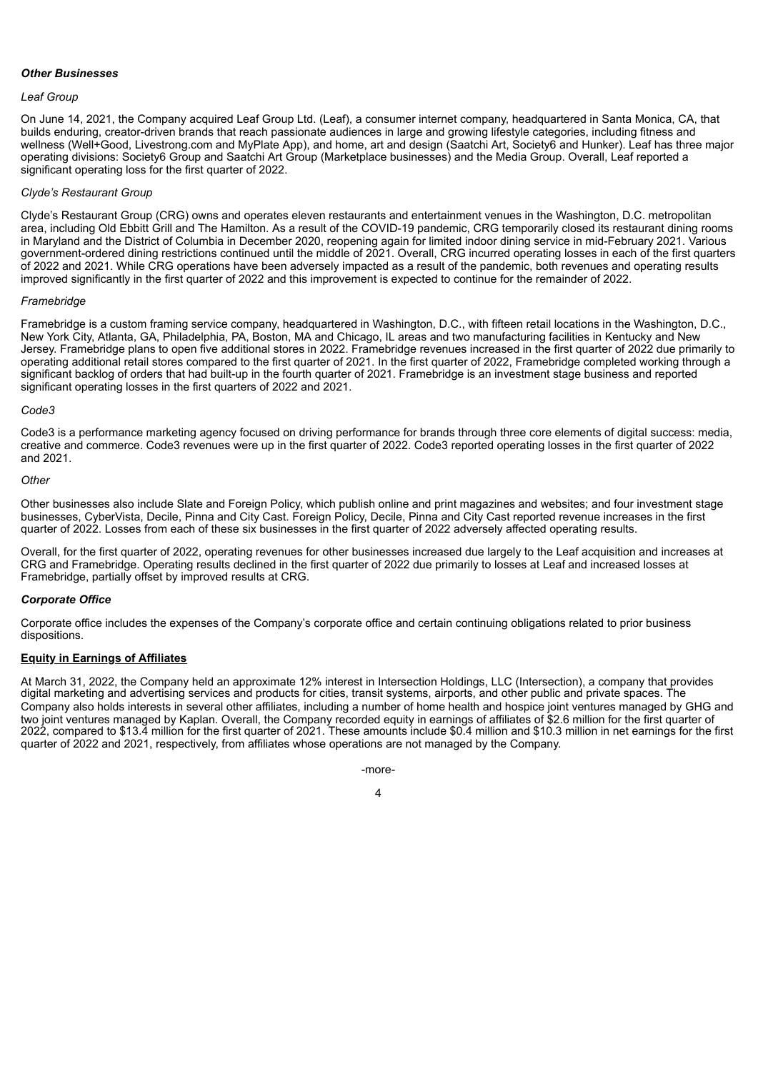#### *Other Businesses*

#### *Leaf Group*

On June 14, 2021, the Company acquired Leaf Group Ltd. (Leaf), a consumer internet company, headquartered in Santa Monica, CA, that builds enduring, creator-driven brands that reach passionate audiences in large and growing lifestyle categories, including fitness and wellness (Well+Good, Livestrong.com and MyPlate App), and home, art and design (Saatchi Art, Society6 and Hunker). Leaf has three major operating divisions: Society6 Group and Saatchi Art Group (Marketplace businesses) and the Media Group. Overall, Leaf reported a significant operating loss for the first quarter of 2022.

#### *Clyde's Restaurant Group*

Clyde's Restaurant Group (CRG) owns and operates eleven restaurants and entertainment venues in the Washington, D.C. metropolitan area, including Old Ebbitt Grill and The Hamilton. As a result of the COVID-19 pandemic, CRG temporarily closed its restaurant dining rooms in Maryland and the District of Columbia in December 2020, reopening again for limited indoor dining service in mid-February 2021. Various government-ordered dining restrictions continued until the middle of 2021. Overall, CRG incurred operating losses in each of the first quarters of 2022 and 2021. While CRG operations have been adversely impacted as a result of the pandemic, both revenues and operating results improved significantly in the first quarter of 2022 and this improvement is expected to continue for the remainder of 2022.

#### *Framebridge*

Framebridge is a custom framing service company, headquartered in Washington, D.C., with fifteen retail locations in the Washington, D.C., New York City, Atlanta, GA, Philadelphia, PA, Boston, MA and Chicago, IL areas and two manufacturing facilities in Kentucky and New Jersey. Framebridge plans to open five additional stores in 2022. Framebridge revenues increased in the first quarter of 2022 due primarily to operating additional retail stores compared to the first quarter of 2021. In the first quarter of 2022, Framebridge completed working through a significant backlog of orders that had built-up in the fourth quarter of 2021. Framebridge is an investment stage business and reported significant operating losses in the first quarters of 2022 and 2021.

#### *Code3*

Code3 is a performance marketing agency focused on driving performance for brands through three core elements of digital success: media, creative and commerce. Code3 revenues were up in the first quarter of 2022. Code3 reported operating losses in the first quarter of 2022 and 2021.

#### *Other*

Other businesses also include Slate and Foreign Policy, which publish online and print magazines and websites; and four investment stage businesses, CyberVista, Decile, Pinna and City Cast. Foreign Policy, Decile, Pinna and City Cast reported revenue increases in the first quarter of 2022. Losses from each of these six businesses in the first quarter of 2022 adversely affected operating results.

Overall, for the first quarter of 2022, operating revenues for other businesses increased due largely to the Leaf acquisition and increases at CRG and Framebridge. Operating results declined in the first quarter of 2022 due primarily to losses at Leaf and increased losses at Framebridge, partially offset by improved results at CRG.

#### *Corporate Office*

Corporate office includes the expenses of the Company's corporate office and certain continuing obligations related to prior business dispositions.

#### **Equity in Earnings of Affiliates**

At March 31, 2022, the Company held an approximate 12% interest in Intersection Holdings, LLC (Intersection), a company that provides digital marketing and advertising services and products for cities, transit systems, airports, and other public and private spaces. The Company also holds interests in several other affiliates, including a number of home health and hospice joint ventures managed by GHG and two joint ventures managed by Kaplan. Overall, the Company recorded equity in earnings of affiliates of \$2.6 million for the first quarter of 2022, compared to \$13.4 million for the first quarter of 2021. These amounts include \$0.4 million and \$10.3 million in net earnings for the first quarter of 2022 and 2021, respectively, from affiliates whose operations are not managed by the Company.

> -more-4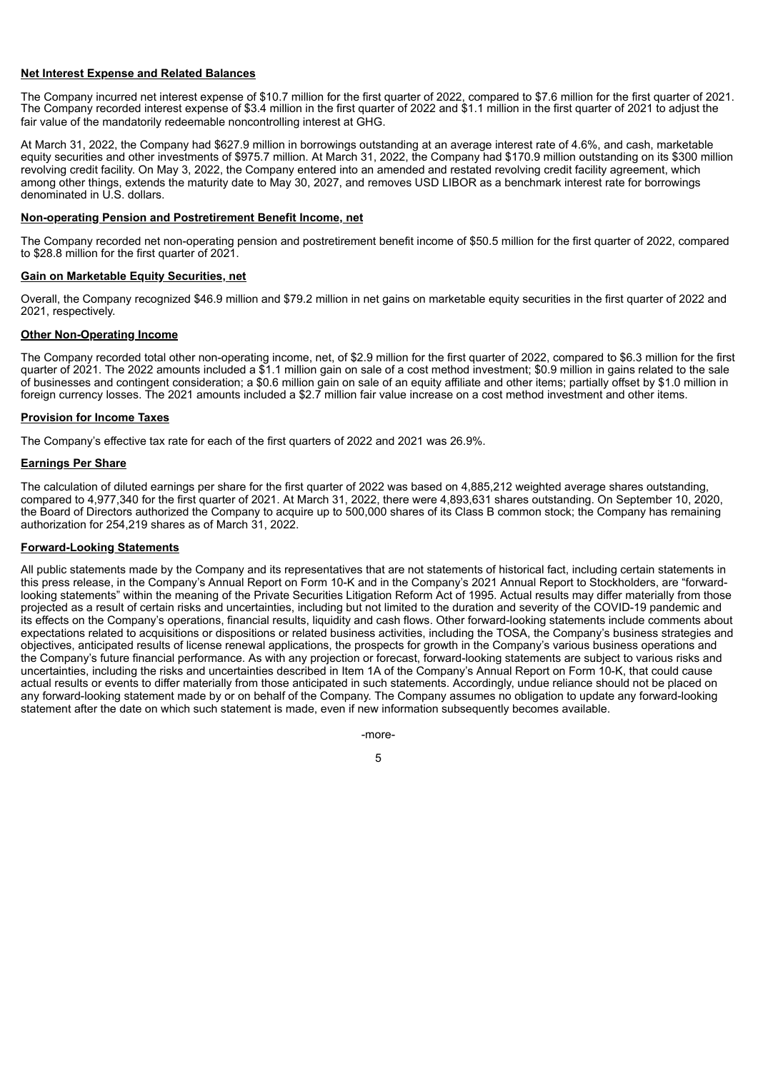#### **Net Interest Expense and Related Balances**

The Company incurred net interest expense of \$10.7 million for the first quarter of 2022, compared to \$7.6 million for the first quarter of 2021. The Company recorded interest expense of \$3.4 million in the first quarter of 2022 and \$1.1 million in the first quarter of 2021 to adjust the fair value of the mandatorily redeemable noncontrolling interest at GHG.

At March 31, 2022, the Company had \$627.9 million in borrowings outstanding at an average interest rate of 4.6%, and cash, marketable equity securities and other investments of \$975.7 million. At March 31, 2022, the Company had \$170.9 million outstanding on its \$300 million revolving credit facility. On May 3, 2022, the Company entered into an amended and restated revolving credit facility agreement, which among other things, extends the maturity date to May 30, 2027, and removes USD LIBOR as a benchmark interest rate for borrowings denominated in U.S. dollars.

#### **Non-operating Pension and Postretirement Benefit Income, net**

The Company recorded net non-operating pension and postretirement benefit income of \$50.5 million for the first quarter of 2022, compared to \$28.8 million for the first quarter of 2021.

#### **Gain on Marketable Equity Securities, net**

Overall, the Company recognized \$46.9 million and \$79.2 million in net gains on marketable equity securities in the first quarter of 2022 and 2021, respectively.

#### **Other Non-Operating Income**

The Company recorded total other non-operating income, net, of \$2.9 million for the first quarter of 2022, compared to \$6.3 million for the first quarter of 2021. The 2022 amounts included a \$1.1 million gain on sale of a cost method investment; \$0.9 million in gains related to the sale of businesses and contingent consideration; a \$0.6 million gain on sale of an equity affiliate and other items; partially offset by \$1.0 million in foreign currency losses. The 2021 amounts included a \$2.7 million fair value increase on a cost method investment and other items.

#### **Provision for Income Taxes**

The Company's effective tax rate for each of the first quarters of 2022 and 2021 was 26.9%.

#### **Earnings Per Share**

The calculation of diluted earnings per share for the first quarter of 2022 was based on 4,885,212 weighted average shares outstanding, compared to 4,977,340 for the first quarter of 2021. At March 31, 2022, there were 4,893,631 shares outstanding. On September 10, 2020, the Board of Directors authorized the Company to acquire up to 500,000 shares of its Class B common stock; the Company has remaining authorization for 254,219 shares as of March 31, 2022.

#### **Forward-Looking Statements**

All public statements made by the Company and its representatives that are not statements of historical fact, including certain statements in this press release, in the Company's Annual Report on Form 10-K and in the Company's 2021 Annual Report to Stockholders, are "forwardlooking statements" within the meaning of the Private Securities Litigation Reform Act of 1995. Actual results may differ materially from those projected as a result of certain risks and uncertainties, including but not limited to the duration and severity of the COVID-19 pandemic and its effects on the Company's operations, financial results, liquidity and cash flows. Other forward-looking statements include comments about expectations related to acquisitions or dispositions or related business activities, including the TOSA, the Company's business strategies and objectives, anticipated results of license renewal applications, the prospects for growth in the Company's various business operations and the Company's future financial performance. As with any projection or forecast, forward-looking statements are subject to various risks and uncertainties, including the risks and uncertainties described in Item 1A of the Company's Annual Report on Form 10-K, that could cause actual results or events to differ materially from those anticipated in such statements. Accordingly, undue reliance should not be placed on any forward-looking statement made by or on behalf of the Company. The Company assumes no obligation to update any forward-looking statement after the date on which such statement is made, even if new information subsequently becomes available.

-more-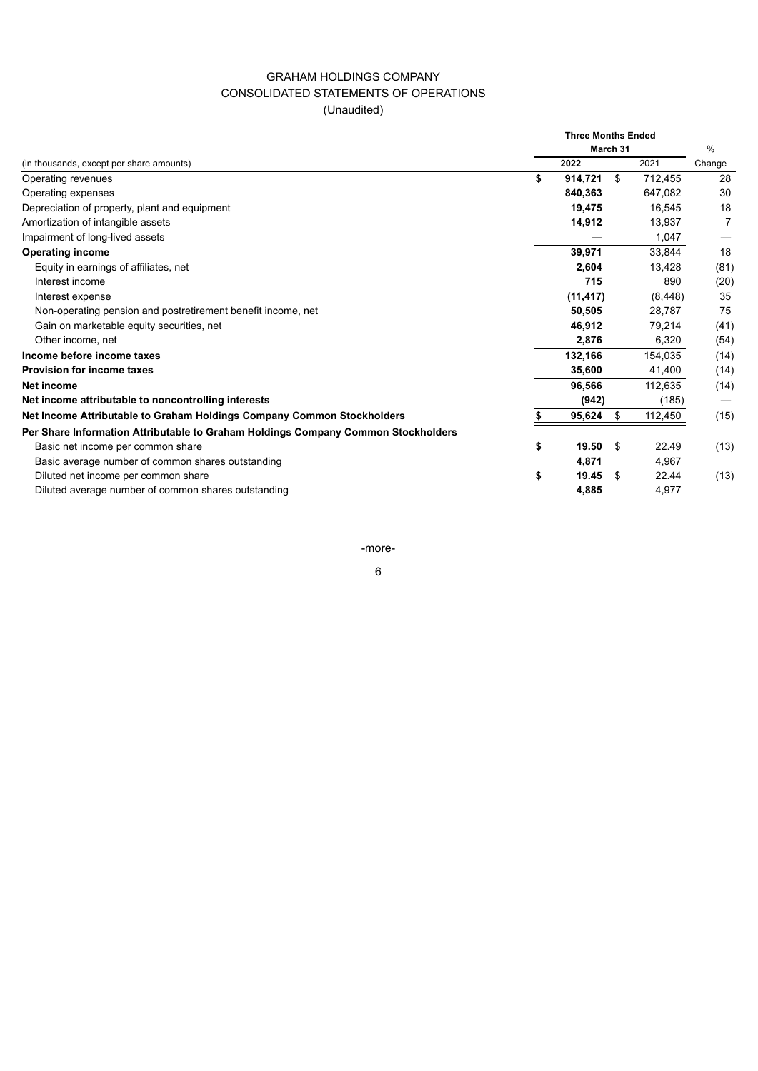## GRAHAM HOLDINGS COMPANY CONSOLIDATED STATEMENTS OF OPERATIONS

(Unaudited)

|                                                                                   |    | <b>Three Months Ended</b><br>March 31 | %   |          |        |
|-----------------------------------------------------------------------------------|----|---------------------------------------|-----|----------|--------|
| (in thousands, except per share amounts)                                          |    | 2022                                  |     | 2021     | Change |
| Operating revenues                                                                | \$ | 914,721                               | \$  | 712,455  | 28     |
| Operating expenses                                                                |    | 840,363                               |     | 647,082  | 30     |
| Depreciation of property, plant and equipment                                     |    | 19,475                                |     | 16.545   | 18     |
| Amortization of intangible assets                                                 |    | 14,912                                |     | 13,937   | 7      |
| Impairment of long-lived assets                                                   |    |                                       |     | 1,047    |        |
| <b>Operating income</b>                                                           |    | 39,971                                |     | 33,844   | 18     |
| Equity in earnings of affiliates, net                                             |    | 2,604                                 |     | 13,428   | (81)   |
| Interest income                                                                   |    | 715                                   |     | 890      | (20)   |
| Interest expense                                                                  |    | (11, 417)                             |     | (8, 448) | 35     |
| Non-operating pension and postretirement benefit income, net                      |    | 50,505                                |     | 28,787   | 75     |
| Gain on marketable equity securities, net                                         |    | 46,912                                |     | 79,214   | (41)   |
| Other income, net                                                                 |    | 2,876                                 |     | 6,320    | (54)   |
| Income before income taxes                                                        |    | 132,166                               |     | 154,035  | (14)   |
| <b>Provision for income taxes</b>                                                 |    | 35,600                                |     | 41,400   | (14)   |
| Net income                                                                        |    | 96,566                                |     | 112,635  | (14)   |
| Net income attributable to noncontrolling interests                               |    | (942)                                 |     | (185)    |        |
| Net Income Attributable to Graham Holdings Company Common Stockholders            | S  | 95,624                                | \$  | 112,450  | (15)   |
| Per Share Information Attributable to Graham Holdings Company Common Stockholders |    |                                       |     |          |        |
| Basic net income per common share                                                 | \$ | 19.50                                 | \$  | 22.49    | (13)   |
| Basic average number of common shares outstanding                                 |    | 4,871                                 |     | 4,967    |        |
| Diluted net income per common share                                               | \$ | 19.45                                 | \$. | 22.44    | (13)   |
| Diluted average number of common shares outstanding                               |    | 4,885                                 |     | 4,977    |        |

-more-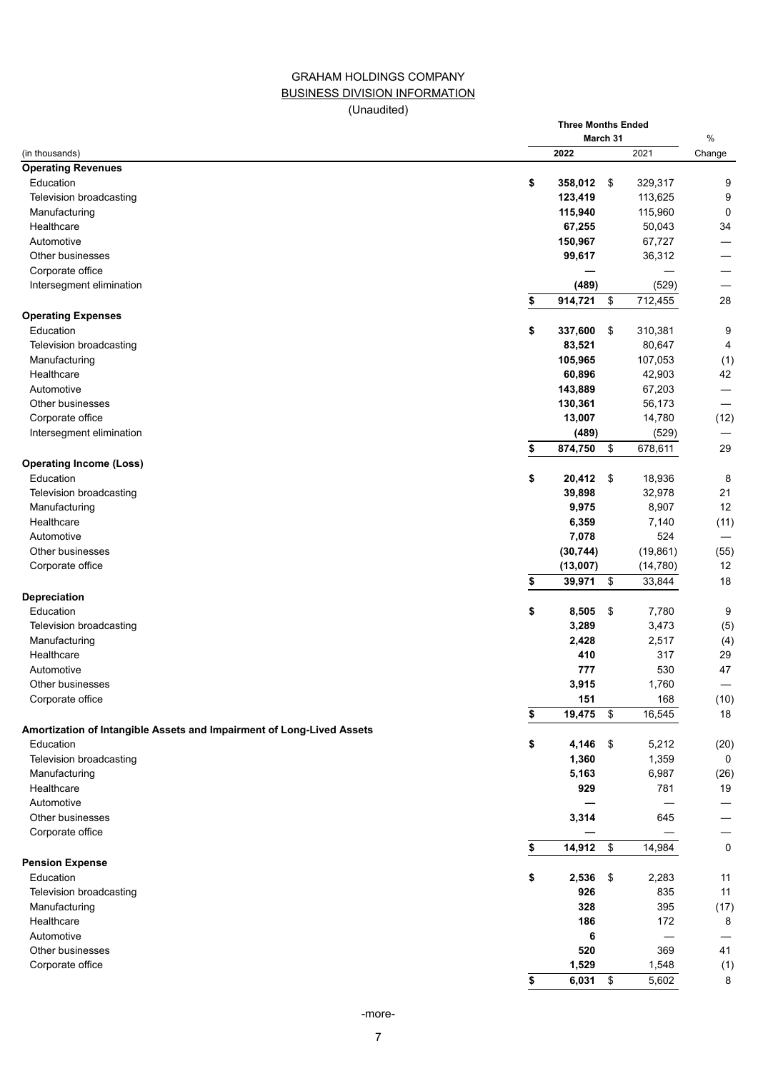## GRAHAM HOLDINGS COMPANY BUSINESS DIVISION INFORMATION

(Unaudited)

**Three Months Ended**

|                                                                                    | March 31          |               |           |        |  |  |
|------------------------------------------------------------------------------------|-------------------|---------------|-----------|--------|--|--|
| (in thousands)                                                                     | 2022              |               | 2021      | Change |  |  |
| <b>Operating Revenues</b>                                                          |                   |               |           |        |  |  |
| Education                                                                          | \$<br>358,012     | $\sqrt{3}$    | 329,317   | 9      |  |  |
| Television broadcasting                                                            | 123,419           |               | 113,625   | 9      |  |  |
| Manufacturing                                                                      | 115,940           |               | 115,960   | 0      |  |  |
| Healthcare                                                                         | 67,255            |               | 50,043    | 34     |  |  |
| Automotive                                                                         | 150,967           |               | 67,727    |        |  |  |
| Other businesses                                                                   | 99,617            |               | 36,312    |        |  |  |
| Corporate office                                                                   |                   |               |           |        |  |  |
| Intersegment elimination                                                           | (489)             |               | (529)     |        |  |  |
|                                                                                    | \$<br>914,721     | \$            | 712,455   | 28     |  |  |
| <b>Operating Expenses</b>                                                          |                   |               |           |        |  |  |
| Education                                                                          | \$<br>337,600     | \$            | 310,381   | 9      |  |  |
| Television broadcasting                                                            | 83,521            |               | 80,647    | 4      |  |  |
| Manufacturing                                                                      | 105,965           |               | 107,053   | (1)    |  |  |
| Healthcare                                                                         | 60,896            |               | 42,903    |        |  |  |
|                                                                                    |                   |               |           | 42     |  |  |
| Automotive                                                                         | 143,889           |               | 67,203    |        |  |  |
| Other businesses                                                                   | 130,361           |               | 56,173    |        |  |  |
| Corporate office                                                                   | 13,007            |               | 14,780    | (12)   |  |  |
| Intersegment elimination                                                           | (489)             |               | (529)     |        |  |  |
|                                                                                    | \$<br>874,750     | \$            | 678,611   | 29     |  |  |
| <b>Operating Income (Loss)</b>                                                     |                   |               |           |        |  |  |
| Education                                                                          | \$<br>$20,412$ \$ |               | 18,936    | 8      |  |  |
| Television broadcasting                                                            | 39,898            |               | 32,978    | 21     |  |  |
| Manufacturing                                                                      | 9,975             |               | 8,907     | 12     |  |  |
| Healthcare                                                                         | 6,359             |               | 7,140     | (11)   |  |  |
| Automotive                                                                         | 7,078             |               | 524       |        |  |  |
| Other businesses                                                                   | (30, 744)         |               | (19, 861) | (55)   |  |  |
| Corporate office                                                                   | (13,007)          |               | (14, 780) | 12     |  |  |
|                                                                                    | \$<br>39,971      | \$            | 33,844    | 18     |  |  |
| Depreciation                                                                       |                   |               |           |        |  |  |
| Education                                                                          | \$<br>8,505       | $\sqrt{3}$    | 7,780     | 9      |  |  |
| Television broadcasting                                                            | 3,289             |               | 3,473     | (5)    |  |  |
| Manufacturing                                                                      | 2,428             |               | 2,517     | (4)    |  |  |
| Healthcare                                                                         | 410               |               | 317       | 29     |  |  |
| Automotive                                                                         | 777               |               | 530       | 47     |  |  |
| Other businesses                                                                   | 3,915             |               | 1,760     |        |  |  |
| Corporate office                                                                   | 151               |               | 168       | (10)   |  |  |
|                                                                                    | \$<br>19,475      | \$            | 16,545    | 18     |  |  |
|                                                                                    |                   |               |           |        |  |  |
| Amortization of Intangible Assets and Impairment of Long-Lived Assets<br>Education |                   |               |           |        |  |  |
|                                                                                    | \$<br>4,146       | $\mathfrak s$ | 5,212     | (20)   |  |  |
| Television broadcasting                                                            | 1,360             |               | 1,359     | 0      |  |  |
| Manufacturing                                                                      | 5,163             |               | 6,987     | (26)   |  |  |
| Healthcare                                                                         | 929               |               | 781       | 19     |  |  |
| Automotive                                                                         |                   |               |           |        |  |  |
| Other businesses                                                                   | 3,314             |               | 645       |        |  |  |
| Corporate office                                                                   |                   |               |           |        |  |  |
|                                                                                    | \$<br>14,912      | \$            | 14,984    | 0      |  |  |
| <b>Pension Expense</b>                                                             |                   |               |           |        |  |  |
| Education                                                                          | \$<br>2,536       | \$            | 2,283     | 11     |  |  |
| Television broadcasting                                                            | 926               |               | 835       | 11     |  |  |
| Manufacturing                                                                      | 328               |               | 395       | (17)   |  |  |
| Healthcare                                                                         | 186               |               | 172       | 8      |  |  |
| Automotive                                                                         | 6                 |               |           |        |  |  |
| Other businesses                                                                   | 520               |               | 369       | 41     |  |  |
| Corporate office                                                                   | 1,529             |               | 1,548     | (1)    |  |  |
|                                                                                    | \$<br>$6,031$ \$  |               | 5,602     | 8      |  |  |
|                                                                                    |                   |               |           |        |  |  |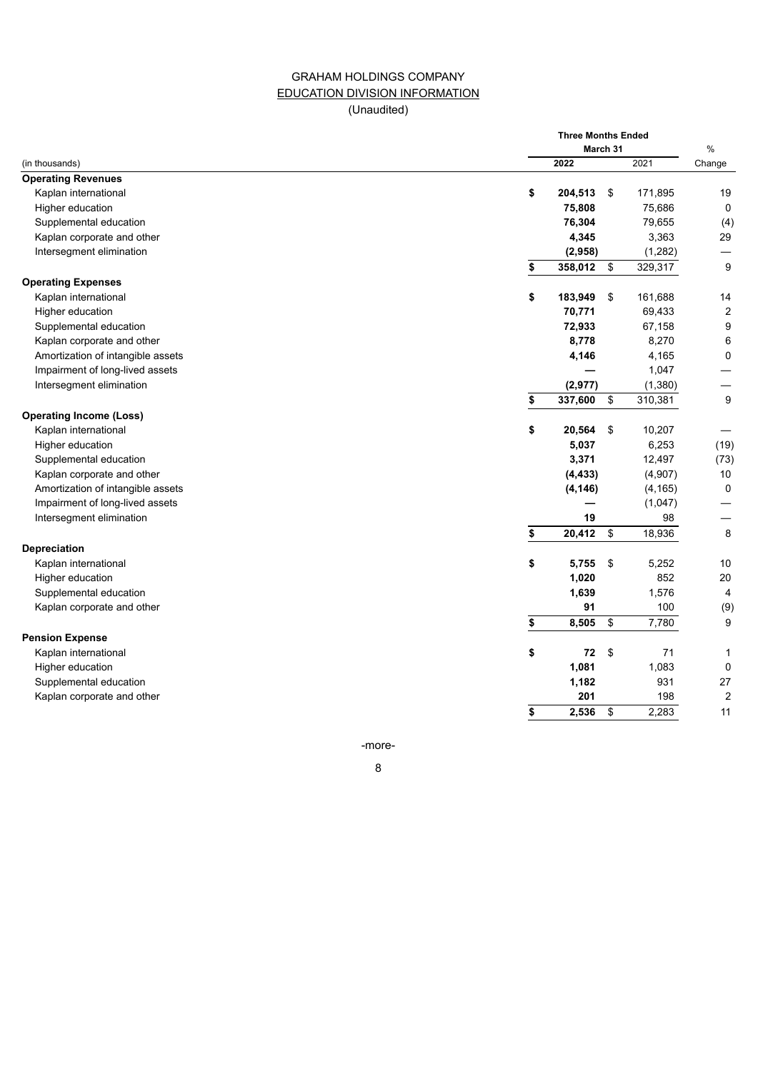## GRAHAM HOLDINGS COMPANY EDUCATION DIVISION INFORMATION (Unaudited)

|                                   |      | <b>Three Months Ended</b><br>March 31 |          |                  |  |  |  |  |
|-----------------------------------|------|---------------------------------------|----------|------------------|--|--|--|--|
| (in thousands)                    | 2022 |                                       | 2021     | $\%$<br>Change   |  |  |  |  |
| <b>Operating Revenues</b>         |      |                                       |          |                  |  |  |  |  |
| Kaplan international              | \$   | 204,513<br>\$                         | 171,895  | 19               |  |  |  |  |
| Higher education                  |      | 75,808                                | 75,686   | 0                |  |  |  |  |
| Supplemental education            |      | 76,304                                | 79,655   | (4)              |  |  |  |  |
| Kaplan corporate and other        |      | 4,345                                 | 3,363    | 29               |  |  |  |  |
| Intersegment elimination          |      | (2,958)                               |          |                  |  |  |  |  |
|                                   |      |                                       | (1,282)  | 9                |  |  |  |  |
|                                   | \$   | 358,012<br>\$                         | 329,317  |                  |  |  |  |  |
| <b>Operating Expenses</b>         |      |                                       |          |                  |  |  |  |  |
| Kaplan international              | \$   | 183,949<br>\$                         | 161,688  | 14               |  |  |  |  |
| Higher education                  |      | 70,771                                | 69,433   | $\overline{c}$   |  |  |  |  |
| Supplemental education            |      | 72,933                                | 67,158   | $\boldsymbol{9}$ |  |  |  |  |
| Kaplan corporate and other        |      | 8,778                                 | 8,270    | 6                |  |  |  |  |
| Amortization of intangible assets |      | 4,146                                 | 4,165    | $\mathbf 0$      |  |  |  |  |
| Impairment of long-lived assets   |      |                                       | 1,047    |                  |  |  |  |  |
| Intersegment elimination          |      | (2, 977)                              | (1, 380) |                  |  |  |  |  |
|                                   | \$   | 337,600<br>\$                         | 310,381  | 9                |  |  |  |  |
| <b>Operating Income (Loss)</b>    |      |                                       |          |                  |  |  |  |  |
| Kaplan international              | \$   | 20,564<br>\$                          | 10,207   |                  |  |  |  |  |
| Higher education                  |      | 5,037                                 | 6,253    | (19)             |  |  |  |  |
| Supplemental education            |      | 3,371                                 | 12,497   | (73)             |  |  |  |  |
| Kaplan corporate and other        |      | (4, 433)                              | (4,907)  | 10               |  |  |  |  |
| Amortization of intangible assets |      | (4, 146)                              | (4, 165) | 0                |  |  |  |  |
| Impairment of long-lived assets   |      |                                       | (1,047)  |                  |  |  |  |  |
| Intersegment elimination          |      | 19                                    | 98       |                  |  |  |  |  |
|                                   | \$   | 20,412<br>\$                          | 18,936   | 8                |  |  |  |  |
| Depreciation                      |      |                                       |          |                  |  |  |  |  |
| Kaplan international              | \$   | 5,755<br>\$                           | 5,252    | 10               |  |  |  |  |
| Higher education                  |      | 1,020                                 | 852      | 20               |  |  |  |  |
| Supplemental education            |      | 1,639                                 | 1,576    | $\overline{4}$   |  |  |  |  |
| Kaplan corporate and other        |      | 91                                    | 100      | (9)              |  |  |  |  |
|                                   | \$   | 8,505<br>\$                           | 7,780    | 9                |  |  |  |  |
| <b>Pension Expense</b>            |      |                                       |          |                  |  |  |  |  |
| Kaplan international              | \$   | 72<br>\$                              | 71       | $\mathbf{1}$     |  |  |  |  |
| Higher education                  |      | 1,081                                 | 1,083    | $\mathbf 0$      |  |  |  |  |
| Supplemental education            |      | 1,182                                 | 931      | 27               |  |  |  |  |
| Kaplan corporate and other        |      | 201                                   | 198      | $\boldsymbol{2}$ |  |  |  |  |
|                                   | \$   | 2,536<br>\$                           | 2.283    | 11               |  |  |  |  |

-more-